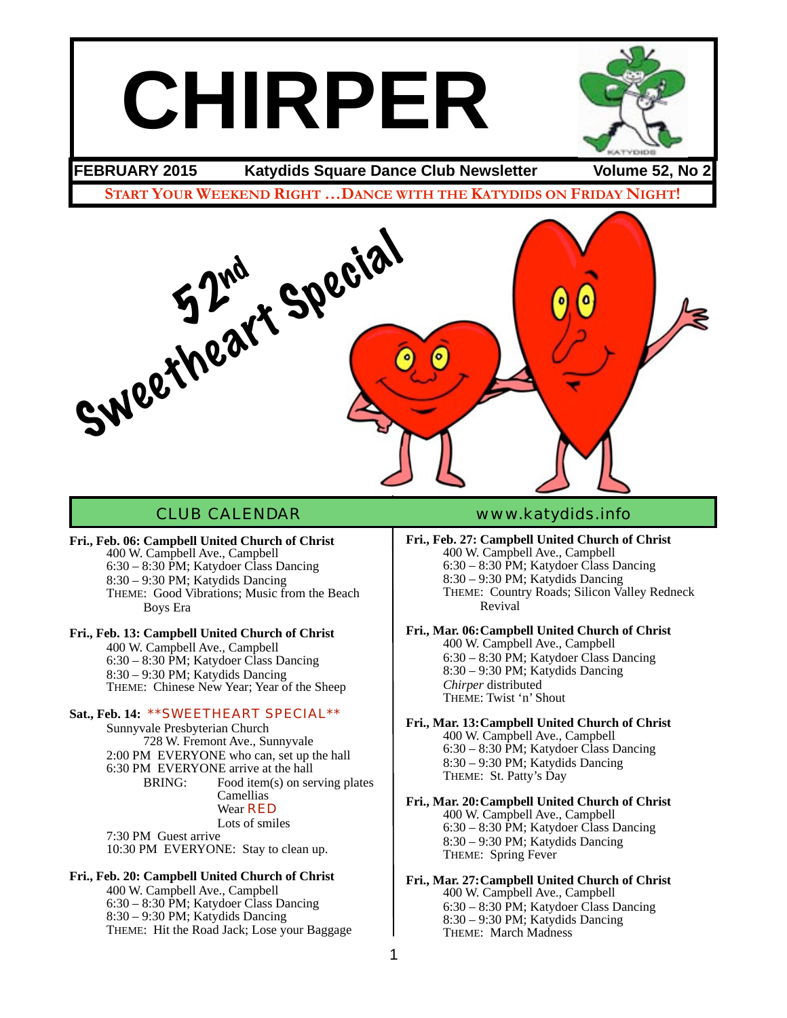# **CHIRPER**



**FEBRUARY 2015 Katydids Square Dance Club Newsletter Volume 52, No 2**

**START YOUR WEEKEND RIGHT …DANCE WITH THE KATYDIDS ON FRIDAY NIGHT!**



**Fri., Feb. 06: Campbell United Church of Christ** 400 W. Campbell Ave., Campbell 6:30 – 8:30 PM; Katydoer Class Dancing 8:30 – 9:30 PM; Katydids Dancing THEME: Good Vibrations; Music from the Beach Boys Era

### **Fri., Feb. 13: Campbell United Church of Christ**

400 W. Campbell Ave., Campbell 6:30 – 8:30 PM; Katydoer Class Dancing 8:30 – 9:30 PM; Katydids Dancing THEME: Chinese New Year; Year of the Sheep

### **Sat., Feb. 14:** \*\*SWEETHEART SPECIAL\*\*

Sunnyvale Presbyterian Church 728 W. Fremont Ave., Sunnyvale 2:00 PM EVERYONE who can, set up the hall 6:30 PM EVERYONE arrive at the hall BRING: Food item(s) on serving plates Camellias Wear RFD Lots of smiles 7:30 PM Guest arrive

10:30 PM EVERYONE: Stay to clean up.

### **Fri., Feb. 20: Campbell United Church of Christ**

400 W. Campbell Ave., Campbell 6:30 – 8:30 PM; Katydoer Class Dancing 8:30 – 9:30 PM; Katydids Dancing THEME: Hit the Road Jack; Lose your Baggage

### CLUB CALENDAR [www.katydids.info](http://www.katydids.info)

**Fri., Feb. 27: Campbell United Church of Christ** 400 W. Campbell Ave., Campbell 6:30 – 8:30 PM; Katydoer Class Dancing 8:30 – 9:30 PM; Katydids Dancing THEME: Country Roads; Silicon Valley Redneck Revival

### **Fri., Mar. 06:Campbell United Church of Christ** 400 W. Campbell Ave., Campbell

6:30 – 8:30 PM; Katydoer Class Dancing 8:30 – 9:30 PM; Katydids Dancing *Chirper* distributed THEME: Twist 'n' Shout

**Fri., Mar. 13:Campbell United Church of Christ** 400 W. Campbell Ave., Campbell 6:30 – 8:30 PM; Katydoer Class Dancing 8:30 – 9:30 PM; Katydids Dancing THEME: St. Patty's Day

**Fri., Mar. 20:Campbell United Church of Christ** 400 W. Campbell Ave., Campbell 6:30 – 8:30 PM; Katydoer Class Dancing 8:30 – 9:30 PM; Katydids Dancing THEME: Spring Fever

**Fri., Mar. 27:Campbell United Church of Christ** 400 W. Campbell Ave., Campbell 6:30 – 8:30 PM; Katydoer Class Dancing 8:30 – 9:30 PM; Katydids Dancing THEME: March Madness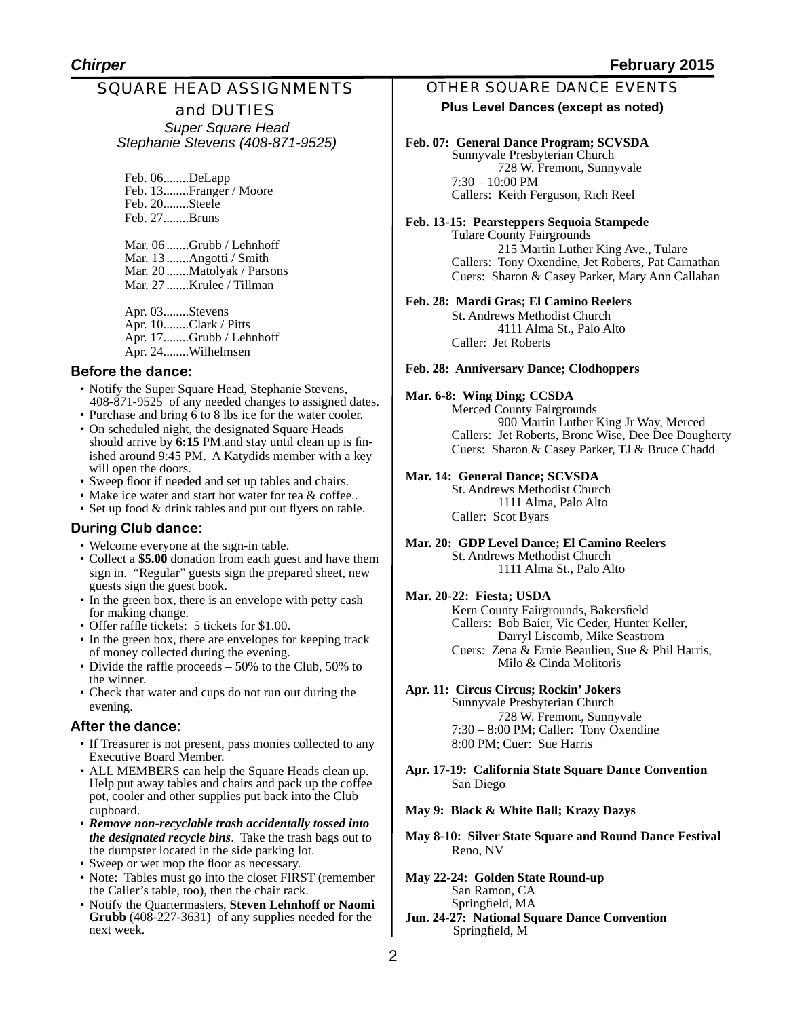### SQUARE HEAD ASSIGNMENTS

and DUTIES *Super Square Head Stephanie Stevens (408-871-9525)*

Feb. 06........DeLapp Feb. 13........Franger / Moore Feb. 20........Steele Feb. 27........Bruns

Mar. 06 .......Grubb / Lehnhoff Mar. 13 .......Angotti / Smith Mar. 20 .......Matolyak / Parsons Mar. 27 .......Krulee / Tillman

Apr. 03........Stevens Apr. 10........Clark / Pitts Apr. 17........Grubb / Lehnhoff Apr. 24........Wilhelmsen

#### **Before the dance:**

- Notify the Super Square Head, Stephanie Stevens, 408-871-9525 of any needed changes to assigned dates.
- Purchase and bring 6 to 8 lbs ice for the water cooler.
- On scheduled night, the designated Square Heads should arrive by **6:15** PM.and stay until clean up is finished around 9:45 PM. A Katydids member with a key will open the doors.
- Sweep floor if needed and set up tables and chairs.
- Make ice water and start hot water for tea & coffee..
- Set up food & drink tables and put out flyers on table.

### **During Club dance:**

- Welcome everyone at the sign-in table.
- Collect a **\$5.00** donation from each guest and have them sign in. "Regular" guests sign the prepared sheet, new guests sign the guest book.
- In the green box, there is an envelope with petty cash for making change.
- Offer raffle tickets: 5 tickets for \$1.00.
- In the green box, there are envelopes for keeping track of money collected during the evening.
- Divide the raffle proceeds 50% to the Club, 50% to the winner.
- Check that water and cups do not run out during the evening.

### **After the dance:**

- If Treasurer is not present, pass monies collected to any Executive Board Member.
- ALL MEMBERS can help the Square Heads clean up. Help put away tables and chairs and pack up the coffee pot, cooler and other supplies put back into the Club cupboard.
- *Remove non-recyclable trash accidentally tossed into the designated recycle bins*. Take the trash bags out to the dumpster located in the side parking lot.
- Sweep or wet mop the floor as necessary.
- Note: Tables must go into the closet FIRST (remember the Caller's table, too), then the chair rack.
- Notify the Quartermasters, **Steven Lehnhoff or Naomi Grubb** (408-227-3631) of any supplies needed for the next week.

### OTHER SQUARE DANCE EVENTS

### **Plus Level Dances (except as noted)**

### **Feb. 07: General Dance Program; SCVSDA**

Sunnyvale Presbyterian Church ! ! 728 W. Fremont, Sunnyvale 7:30 – 10:00 PM Callers: Keith Ferguson, Rich Reel

**Feb. 13-15: Pearsteppers Sequoia Stampede** Tulare County Fairgrounds 215 Martin Luther King Ave., Tulare Callers: Tony Oxendine, Jet Roberts, Pat Carnathan Cuers: Sharon & Casey Parker, Mary Ann Callahan

#### **Feb. 28: Mardi Gras; El Camino Reelers**

St. Andrews Methodist Church ! ! 4111 Alma St., Palo Alto Caller: Jet Roberts

#### **Feb. 28: Anniversary Dance; Clodhoppers**

### **Mar. 6-8: Wing Ding; CCSDA**

900 Martin Luther King Jr Way, Merced Callers: Jet Roberts, Bronc Wise, Dee Dee Dougherty Cuers: Sharon & Casey Parker, TJ & Bruce Chadd

### **Mar. 14: General Dance; SCVSDA**

St. Andrews Methodist Church ! ! 1111 Alma, Palo Alto Caller: Scot Byars

**Mar. 20: GDP Level Dance; El Camino Reelers** St. Andrews Methodist Church ! ! 1111 Alma St., Palo Alto

#### **Mar. 20-22: Fiesta; USDA**

Kern County Fairgrounds, Bakersfield Callers: Bob Baier, Vic Ceder, Hunter Keller, Darryl Liscomb, Mike Seastrom Cuers: Zena & Ernie Beaulieu, Sue & Phil Harris, Milo & Cinda Molitoris

#### **Apr. 11: Circus Circus; Rockin' Jokers**

Sunnyvale Presbyterian Church 728 W. Fremont, Sunnyvale 7:30 – 8:00 PM; Caller: Tony Oxendine 8:00 PM; Cuer: Sue Harris

- **Apr. 17-19: California State Square Dance Convention** San Diego
- **May 9: Black & White Ball; Krazy Dazys**
- **May 8-10: Silver State Square and Round Dance Festival** Reno, NV
- **May 22-24: Golden State Round-up** San Ramon, CA Springfield, MA
- **Jun. 24-27: National Square Dance Convention** Springfield, M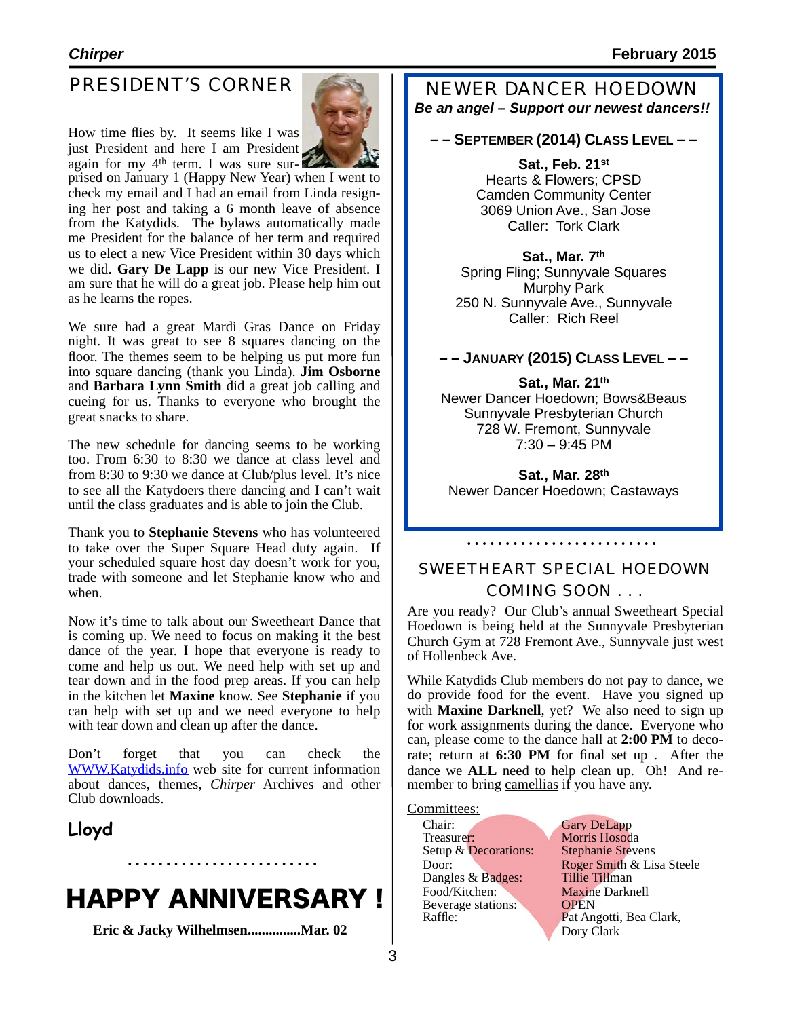### PRESIDENT'S CORNER

How time flies by. It seems like I was



again for my 4<sup>th</sup> term. I was sure sur- **1998 and September 1 (Happy New Year)** when I went to just President and here I am President<br>again for my 4<sup>th</sup> term. I was sure surcheck my email and I had an email from Linda resigning her post and taking a 6 month leave of absence from the Katydids. The bylaws automatically made me President for the balance of her term and required us to elect a new Vice President within 30 days which we did. **Gary De Lapp** is our new Vice President. I am sure that he will do a great job. Please help him out as he learns the ropes.

We sure had a great Mardi Gras Dance on Friday night. It was great to see 8 squares dancing on the floor. The themes seem to be helping us put more fun into square dancing (thank you Linda). **Jim Osborne** and **Barbara Lynn Smith** did a great job calling and cueing for us. Thanks to everyone who brought the great snacks to share.

The new schedule for dancing seems to be working too. From 6:30 to 8:30 we dance at class level and from 8:30 to 9:30 we dance at Club/plus level. It's nice to see all the Katydoers there dancing and I can't wait until the class graduates and is able to join the Club.

Thank you to **Stephanie Stevens** who has volunteered to take over the Super Square Head duty again. If your scheduled square host day doesn't work for you, trade with someone and let Stephanie know who and when.

Now it's time to talk about our Sweetheart Dance that is coming up. We need to focus on making it the best dance of the year. I hope that everyone is ready to come and help us out. We need help with set up and tear down and in the food prep areas. If you can help in the kitchen let **Maxine** know. See **Stephanie** if you can help with set up and we need everyone to help with tear down and clean up after the dance.

Don't forget that you can check the [WWW.Katydids.info](http://WWW.Katydids.info) web site for current information about dances, themes, *Chirper* Archives and other Club downloads.

### **Lloyd**

# HAPPY ANNIVERSARY !

**Eric & Jacky Wilhelmsen...............Mar. 02**

NEWER DANCER HOEDOWN *Be an angel – Support our newest dancers!!*

### **– – SEPTEMBER (2014) CLASS LEVEL – –**

### **Sat., Feb. 21st**

Hearts & Flowers; CPSD Camden Community Center 3069 Union Ave., San Jose Caller: Tork Clark

**Sat., Mar. 7th** Spring Fling; Sunnyvale Squares Murphy Park 250 N. Sunnyvale Ave., Sunnyvale Caller: Rich Reel

### **– – JANUARY (2015) CLASS LEVEL – –**

**Sat., Mar. 21th** Newer Dancer Hoedown; Bows&Beaus Sunnyvale Presbyterian Church 728 W. Fremont, Sunnyvale 7:30 – 9:45 PM

**Sat., Mar. 28th** Newer Dancer Hoedown; Castaways

### SWEETHEART SPECIAL HOEDOWN COMING SOON . . .

Are you ready? Our Club's annual Sweetheart Special Hoedown is being held at the Sunnyvale Presbyterian Church Gym at 728 Fremont Ave., Sunnyvale just west of Hollenbeck Ave.

While Katydids Club members do not pay to dance, we do provide food for the event. Have you signed up with **Maxine Darknell**, yet? We also need to sign up for work assignments during the dance. Everyone who can, please come to the dance hall at **2:00 PM** to decorate; return at **6:30 PM** for final set up . After the dance we **ALL** need to help clean up. Oh! And remember to bring camellias if you have any.

Committees:

Chair: Gary DeLapp<br>Treasurer: Morris Hosod Setup & Decorations: Dangles & Badges: Food/Kitchen: Maxine Darknell<br>Beverage stations: OPEN Beverage stations:<br>Raffle:

Morris Hosoda<br>Stephanie Stevens Door: Roger Smith & Lisa Steele<br>Dangles & Badges: Tillie Tillman Pat Angotti, Bea Clark, Dory Clark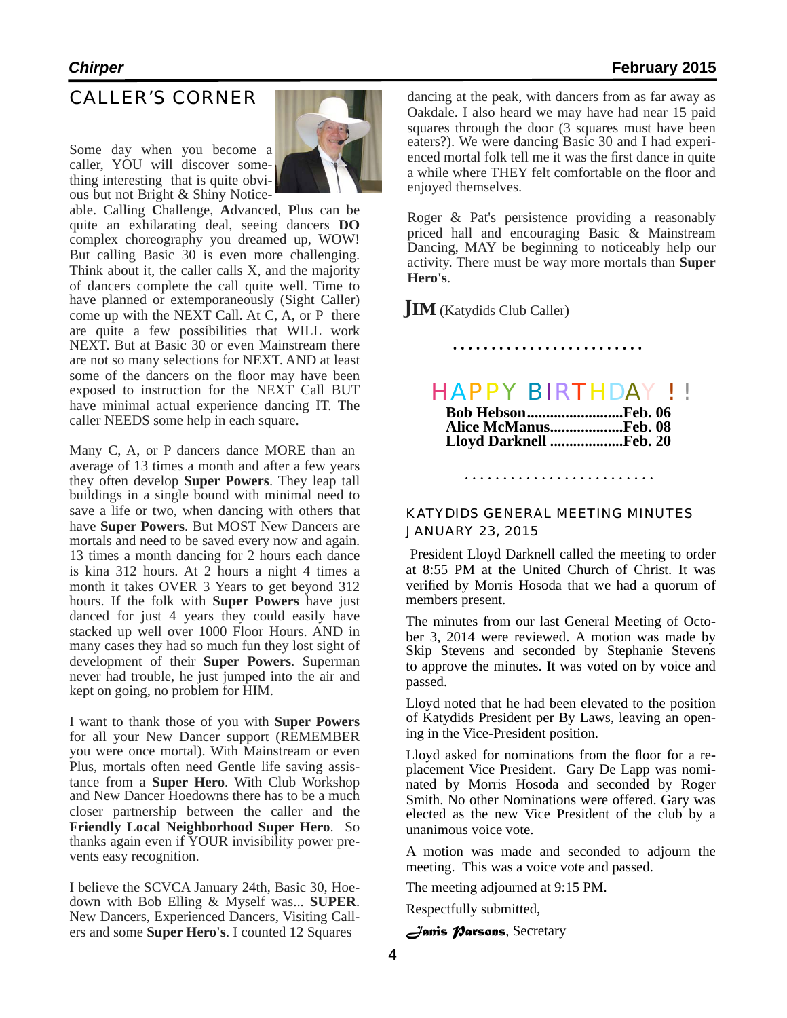### CALLER'S CORNER

Some day when you become a caller, YOU will discover something interesting that is quite obvious but not Bright & Shiny Notice-



able. Calling **C**hallenge, **A**dvanced, **P**lus can be quite an exhilarating deal, seeing dancers **DO** complex choreography you dreamed up, WOW! But calling Basic 30 is even more challenging. Think about it, the caller calls X, and the majority of dancers complete the call quite well. Time to have planned or extemporaneously (Sight Caller) come up with the NEXT Call. At C, A, or P there are quite a few possibilities that WILL work NEXT. But at Basic 30 or even Mainstream there are not so many selections for NEXT. AND at least some of the dancers on the floor may have been exposed to instruction for the NEXT Call BUT have minimal actual experience dancing IT. The caller NEEDS some help in each square.

Many C, A, or P dancers dance MORE than an average of 13 times a month and after a few years they often develop **Super Powers**. They leap tall buildings in a single bound with minimal need to save a life or two, when dancing with others that have **Super Powers**. But MOST New Dancers are mortals and need to be saved every now and again. 13 times a month dancing for 2 hours each dance is kina 312 hours. At 2 hours a night 4 times a month it takes OVER 3 Years to get beyond 312 hours. If the folk with **Super Powers** have just danced for just 4 years they could easily have stacked up well over 1000 Floor Hours. AND in many cases they had so much fun they lost sight of development of their **Super Powers**. Superman never had trouble, he just jumped into the air and kept on going, no problem for HIM.

I want to thank those of you with **Super Powers** for all your New Dancer support (REMEMBER you were once mortal). With Mainstream or even Plus, mortals often need Gentle life saving assistance from a **Super Hero**. With Club Workshop and New Dancer Hoedowns there has to be a much closer partnership between the caller and the **Friendly Local Neighborhood Super Hero**. So thanks again even if YOUR invisibility power prevents easy recognition.

I believe the SCVCA January 24th, Basic 30, Hoedown with Bob Elling & Myself was... **SUPER**. New Dancers, Experienced Dancers, Visiting Callers and some **Super Hero's**. I counted 12 Squares

dancing at the peak, with dancers from as far away as Oakdale. I also heard we may have had near 15 paid squares through the door (3 squares must have been eaters?). We were dancing Basic 30 and I had experienced mortal folk tell me it was the first dance in quite a while where THEY felt comfortable on the floor and enjoyed themselves.

Roger & Pat's persistence providing a reasonably priced hall and encouraging Basic & Mainstream Dancing, MAY be beginning to noticeably help our activity. There must be way more mortals than **Super Hero's**.

**JIM** (Katydids Club Caller)

### HAPPY BIRTHDAY ! !

| Bob HebsonFeb. 06             |  |
|-------------------------------|--|
| <b>Alice McManusFeb. 08</b>   |  |
| <b>Lloyd Darknell Feb. 20</b> |  |

### KATYDIDS GENERAL MEETING MINUTES JANUARY 23, 2015

President Lloyd Darknell called the meeting to order at 8:55 PM at the United Church of Christ. It was verified by Morris Hosoda that we had a quorum of members present.

The minutes from our last General Meeting of October 3, 2014 were reviewed. A motion was made by Skip Stevens and seconded by Stephanie Stevens to approve the minutes. It was voted on by voice and passed.

Lloyd noted that he had been elevated to the position of Katydids President per By Laws, leaving an opening in the Vice-President position.

Lloyd asked for nominations from the floor for a replacement Vice President. Gary De Lapp was nominated by Morris Hosoda and seconded by Roger Smith. No other Nominations were offered. Gary was elected as the new Vice President of the club by a unanimous voice vote.

A motion was made and seconded to adjourn the meeting. This was a voice vote and passed.

The meeting adjourned at 9:15 PM.

Respectfully submitted,

*Janis Parsons*, Secretary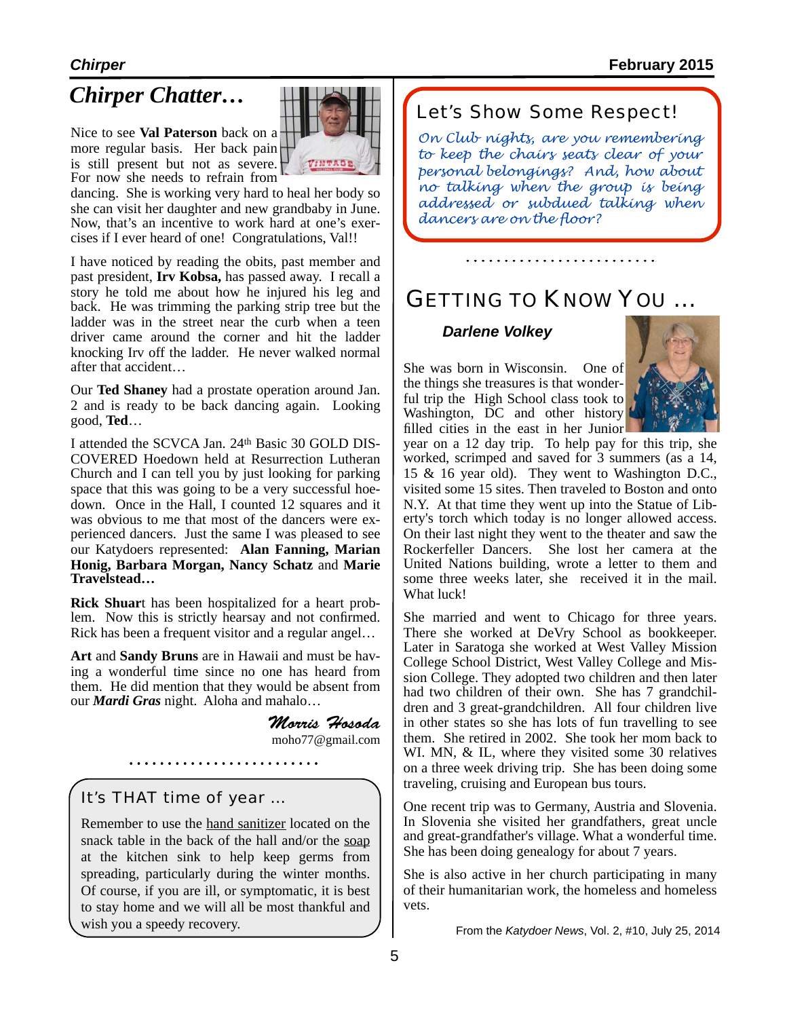### *Chirper Chatter…*

Nice to see **Val Paterson** back on a more regular basis. Her back pain is still present but not as severe. For now she needs to refrain from

dancing. She is working very hard to heal her body so she can visit her daughter and new grandbaby in June. Now, that's an incentive to work hard at one's exercises if I ever heard of one! Congratulations, Val!!

I have noticed by reading the obits, past member and past president, **Irv Kobsa,** has passed away. I recall a story he told me about how he injured his leg and back. He was trimming the parking strip tree but the ladder was in the street near the curb when a teen driver came around the corner and hit the ladder knocking Irv off the ladder. He never walked normal after that accident…

Our **Ted Shaney** had a prostate operation around Jan. 2 and is ready to be back dancing again. Looking good, **Ted**…

I attended the SCVCA Jan. 24th Basic 30 GOLD DIS-COVERED Hoedown held at Resurrection Lutheran Church and I can tell you by just looking for parking space that this was going to be a very successful hoedown. Once in the Hall, I counted 12 squares and it was obvious to me that most of the dancers were experienced dancers. Just the same I was pleased to see our Katydoers represented: **Alan Fanning, Marian Honig, Barbara Morgan, Nancy Schatz** and **Marie Travelstead…**

**Rick Shuart** has been hospitalized for a heart prob-<br>lem. Now this is strictly hearsay and not confirmed. Rick has been a frequent visitor and a regular angel…

**Art** and **Sandy Bruns** are in Hawaii and must be having a wonderful time since no one has heard from them. He did mention that they would be absent from our *Mardi Gras* night. Aloha and mahalo…

> *Morris Hosoda* [moho77@gmail.com](mailto:moho77@gmail.com)

It's THAT time of year …

Remember to use the hand sanitizer located on the snack table in the back of the hall and/or the soap at the kitchen sink to help keep germs from spreading, particularly during the winter months. Of course, if you are ill, or symptomatic, it is best to stay home and we will all be most thankful and wish you a speedy recovery.

Let's Show Some Respect!

VINTAGI

*On Club nights, are you remembering to keep the chairs seats clear of your personal belongings? And, how about no talking when the group is being addressed or subdued talking when dancers are on the floor?*

### GETTING TO KNOW YOU …

### *Darlene Volkey*

She was born in Wisconsin. One of the things she treasures is that wonderful trip the High School class took to Washington, DC and other history filled cities in the east in her Junior



year on a 12 day trip. To help pay for this trip, she worked, scrimped and saved for 3 summers (as a 14, 15 & 16 year old). They went to Washington D.C., visited some 15 sites. Then traveled to Boston and onto N.Y. At that time they went up into the Statue of Liberty's torch which today is no longer allowed access. On their last night they went to the theater and saw the Rockerfeller Dancers. She lost her camera at the United Nations building, wrote a letter to them and some three weeks later, she received it in the mail. What luck!

She married and went to Chicago for three years. There she worked at DeVry School as bookkeeper. Later in Saratoga she worked at West Valley Mission College School District, West Valley College and Mission College. They adopted two children and then later had two children of their own. She has 7 grandchildren and 3 great-grandchildren. All four children live in other states so she has lots of fun travelling to see them. She retired in 2002. She took her mom back to WI. MN, & IL, where they visited some 30 relatives on a three week driving trip. She has been doing some traveling, cruising and European bus tours.

One recent trip was to Germany, Austria and Slovenia. In Slovenia she visited her grandfathers, great uncle and great-grandfather's village. What a wonderful time. She has been doing genealogy for about 7 years.

She is also active in her church participating in many of their humanitarian work, the homeless and homeless vets.

From the *Katydoer News*, Vol. 2, #10, July 25, 2014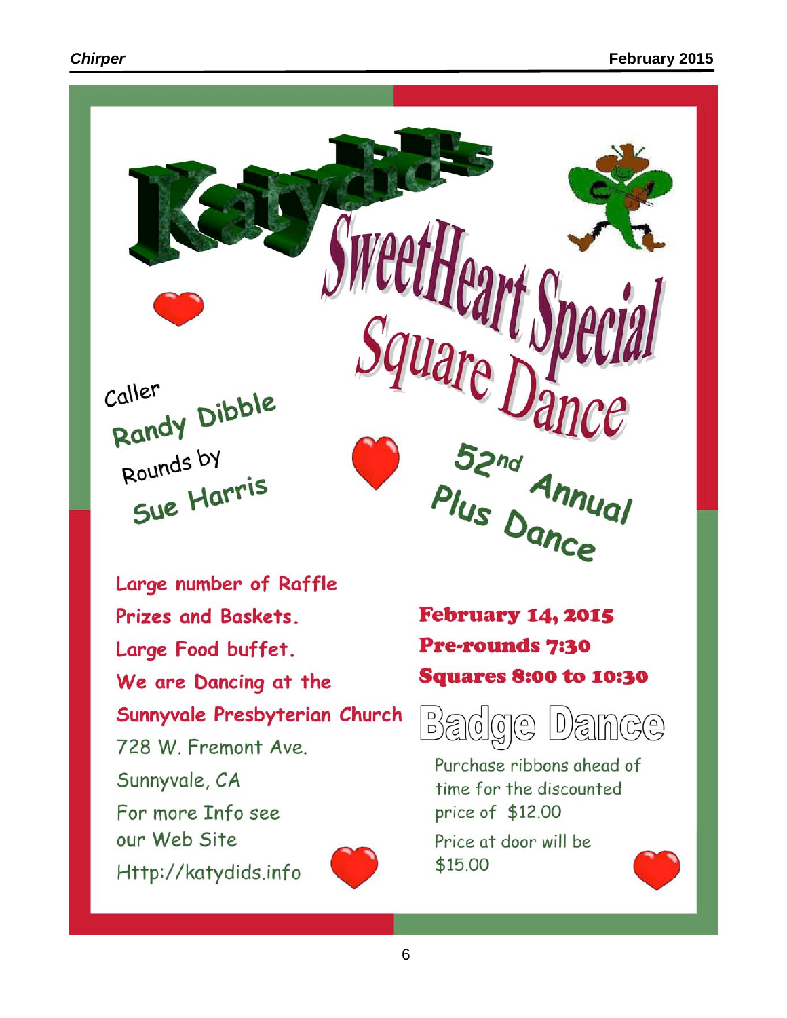

Large number of Raffle Prizes and Baskets. Large Food buffet. We are Dancing at the Sunnyvale Presbyterian Church 728 W. Fremont Ave. Sunnyvale, CA For more Info see our Web Site Http://katydids.info

**February 14, 2015 Pre-rounds 7:30 Squares 8:00 to 10:30** 



Purchase ribbons ahead of time for the discounted price of \$12.00

Price at door will be \$15.00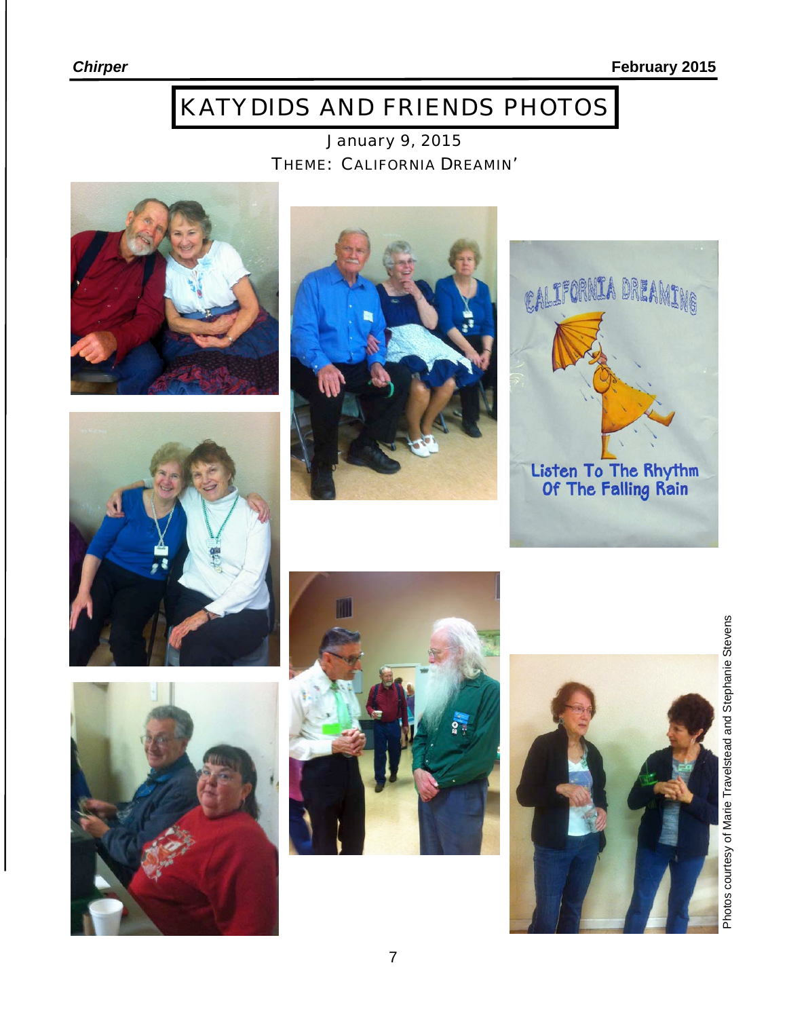# KATYDIDS AND FRIENDS PHOTOS

January 9, 2015 THEME: CALIFORNIA DREAMIN'















Photos courtesy of Marie Travelstead and Stephanie Stevens Photos courtesy of Marie Travelstead and Stephanie Stevens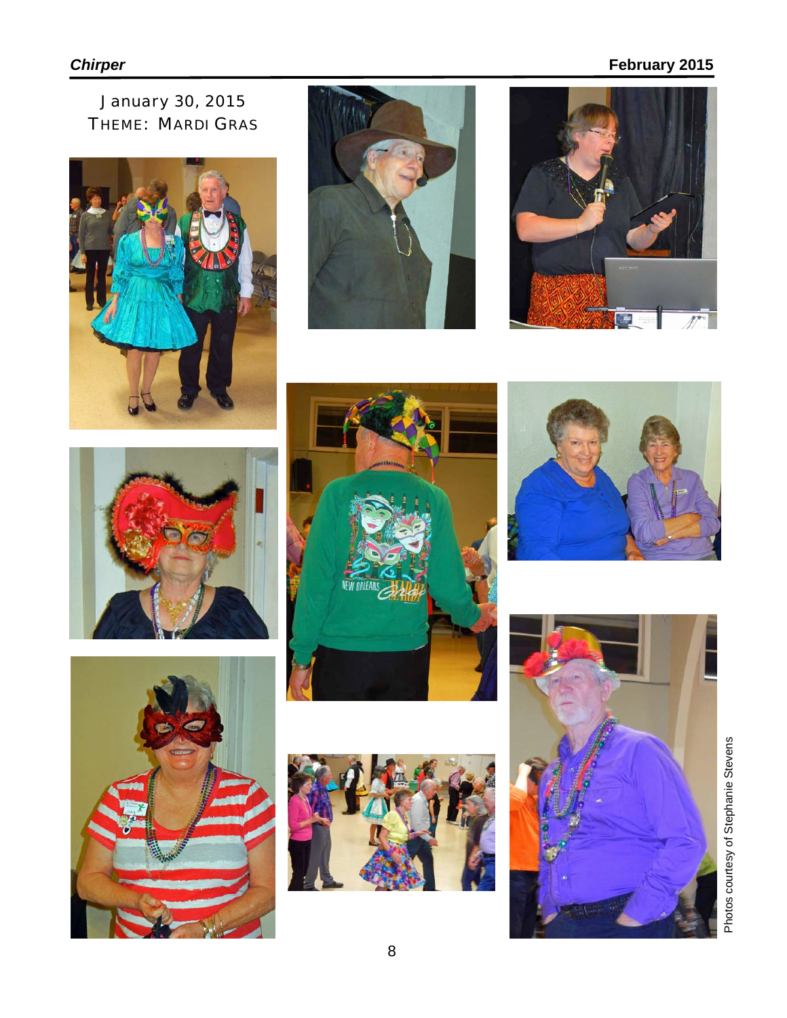### **Chirper** February 2015

January 30, 2015 THEME: MARDI GRAS

















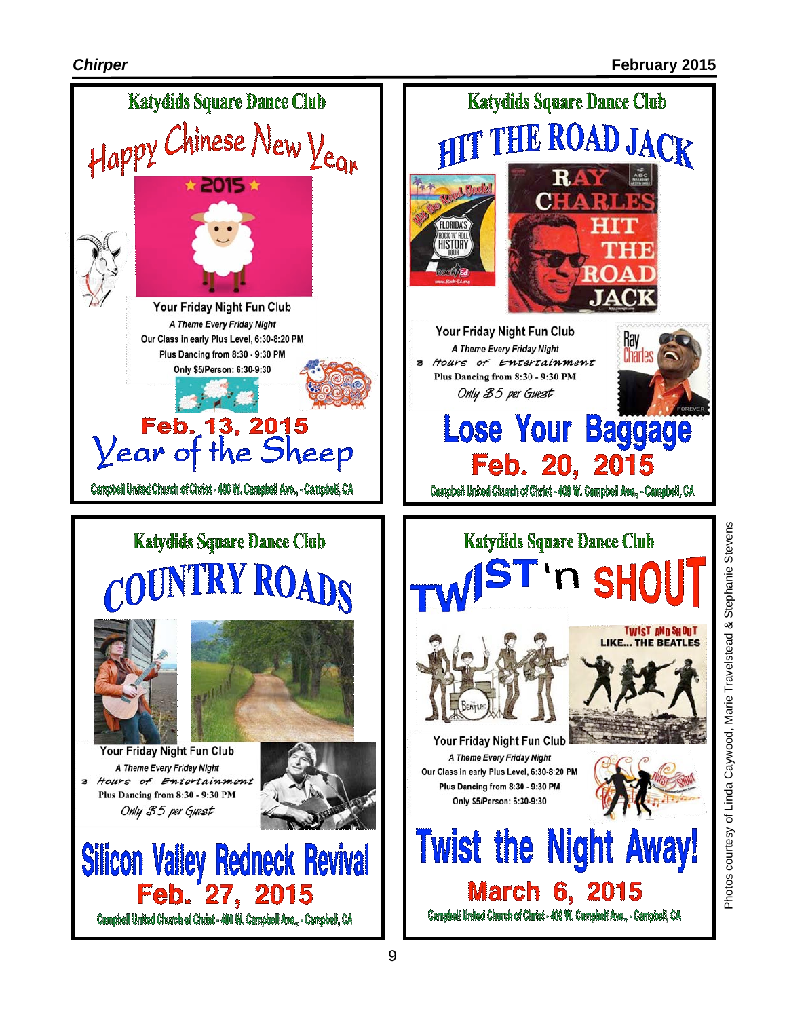